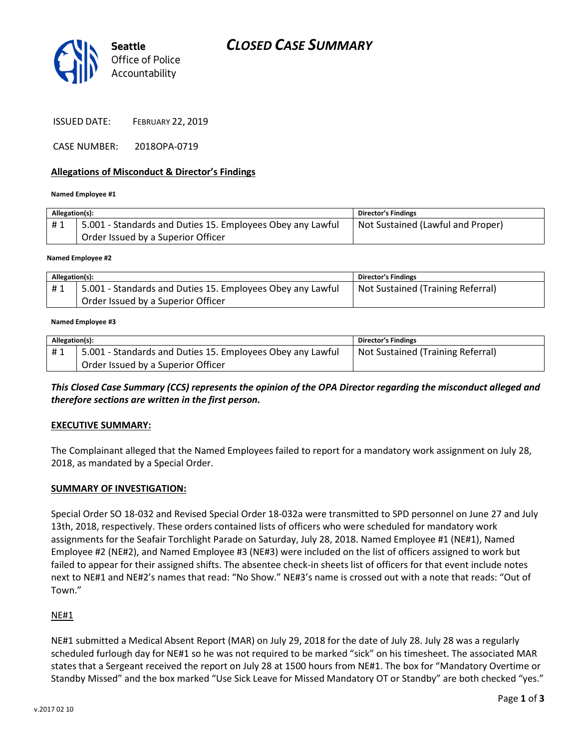



ISSUED DATE: FEBRUARY 22, 2019

CASE NUMBER: 2018OPA-0719

#### Allegations of Misconduct & Director's Findings

#### Named Employee #1

| Allegation(s): |                                                                                                  | <b>Director's Findings</b>        |
|----------------|--------------------------------------------------------------------------------------------------|-----------------------------------|
| #1             | 5.001 - Standards and Duties 15. Employees Obey any Lawful<br>Order Issued by a Superior Officer | Not Sustained (Lawful and Proper) |
|                |                                                                                                  |                                   |

#### Named Employee #2

| Allegation(s): |                                                            | <b>Director's Findings</b>        |
|----------------|------------------------------------------------------------|-----------------------------------|
| #1             | 5.001 - Standards and Duties 15. Employees Obey any Lawful | Not Sustained (Training Referral) |
|                | Order Issued by a Superior Officer                         |                                   |

#### Named Employee #3

| Allegation(s): |                                                            | Director's Findings               |
|----------------|------------------------------------------------------------|-----------------------------------|
| #1             | 5.001 - Standards and Duties 15. Employees Obey any Lawful | Not Sustained (Training Referral) |
|                | Order Issued by a Superior Officer                         |                                   |

This Closed Case Summary (CCS) represents the opinion of the OPA Director regarding the misconduct alleged and therefore sections are written in the first person.

#### EXECUTIVE SUMMARY:

The Complainant alleged that the Named Employees failed to report for a mandatory work assignment on July 28, 2018, as mandated by a Special Order.

#### SUMMARY OF INVESTIGATION:

Special Order SO 18-032 and Revised Special Order 18-032a were transmitted to SPD personnel on June 27 and July 13th, 2018, respectively. These orders contained lists of officers who were scheduled for mandatory work assignments for the Seafair Torchlight Parade on Saturday, July 28, 2018. Named Employee #1 (NE#1), Named Employee #2 (NE#2), and Named Employee #3 (NE#3) were included on the list of officers assigned to work but failed to appear for their assigned shifts. The absentee check-in sheets list of officers for that event include notes next to NE#1 and NE#2's names that read: "No Show." NE#3's name is crossed out with a note that reads: "Out of Town."

#### NE#1

NE#1 submitted a Medical Absent Report (MAR) on July 29, 2018 for the date of July 28. July 28 was a regularly scheduled furlough day for NE#1 so he was not required to be marked "sick" on his timesheet. The associated MAR states that a Sergeant received the report on July 28 at 1500 hours from NE#1. The box for "Mandatory Overtime or Standby Missed" and the box marked "Use Sick Leave for Missed Mandatory OT or Standby" are both checked "yes."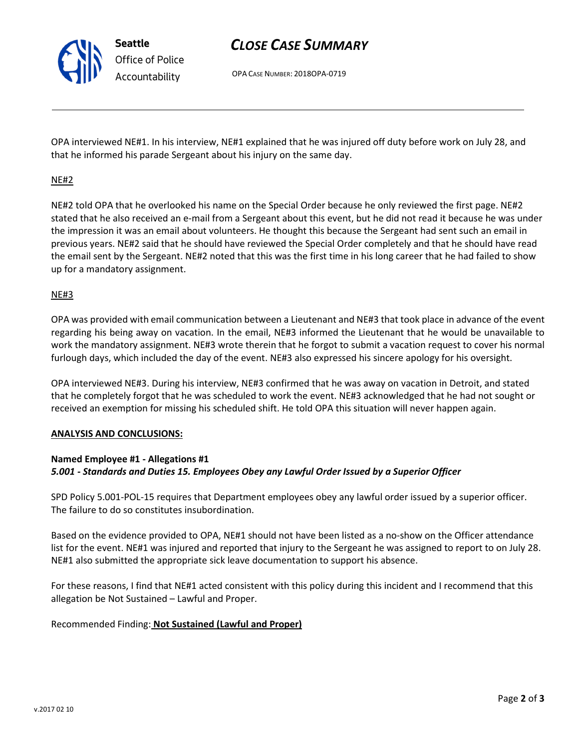Seattle Office of Police Accountability

# CLOSE CASE SUMMARY

OPA CASE NUMBER: 2018OPA-0719

OPA interviewed NE#1. In his interview, NE#1 explained that he was injured off duty before work on July 28, and that he informed his parade Sergeant about his injury on the same day.

# NE#2

NE#2 told OPA that he overlooked his name on the Special Order because he only reviewed the first page. NE#2 stated that he also received an e-mail from a Sergeant about this event, but he did not read it because he was under the impression it was an email about volunteers. He thought this because the Sergeant had sent such an email in previous years. NE#2 said that he should have reviewed the Special Order completely and that he should have read the email sent by the Sergeant. NE#2 noted that this was the first time in his long career that he had failed to show up for a mandatory assignment.

#### NE#3

OPA was provided with email communication between a Lieutenant and NE#3 that took place in advance of the event regarding his being away on vacation. In the email, NE#3 informed the Lieutenant that he would be unavailable to work the mandatory assignment. NE#3 wrote therein that he forgot to submit a vacation request to cover his normal furlough days, which included the day of the event. NE#3 also expressed his sincere apology for his oversight.

OPA interviewed NE#3. During his interview, NE#3 confirmed that he was away on vacation in Detroit, and stated that he completely forgot that he was scheduled to work the event. NE#3 acknowledged that he had not sought or received an exemption for missing his scheduled shift. He told OPA this situation will never happen again.

## ANALYSIS AND CONCLUSIONS:

#### Named Employee #1 - Allegations #1 5.001 - Standards and Duties 15. Employees Obey any Lawful Order Issued by a Superior Officer

SPD Policy 5.001-POL-15 requires that Department employees obey any lawful order issued by a superior officer. The failure to do so constitutes insubordination.

Based on the evidence provided to OPA, NE#1 should not have been listed as a no-show on the Officer attendance list for the event. NE#1 was injured and reported that injury to the Sergeant he was assigned to report to on July 28. NE#1 also submitted the appropriate sick leave documentation to support his absence.

For these reasons, I find that NE#1 acted consistent with this policy during this incident and I recommend that this allegation be Not Sustained – Lawful and Proper.

## Recommended Finding: Not Sustained (Lawful and Proper)